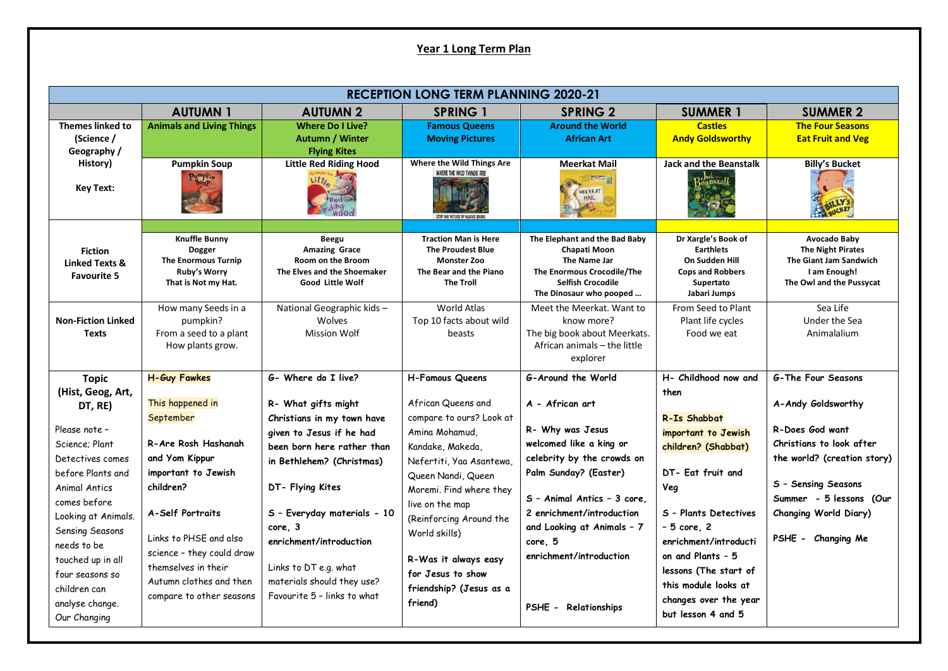## **Year 1 Long Term Plan**

| <b>RECEPTION LONG TERM PLANNING 2020-21</b>                                                                                                                                                                                                                                                                   |                                                                                                                                                                                                                                                                                                   |                                                                                                                                                                                                                                                                                                                                                |                                                                                                                                                                                                                                                                                                                                               |                                                                                                                                                                                                                                                                                                                               |                                                                                                                                                                                                                                                                                                              |                                                                                                                                                                                                                                          |  |  |  |  |
|---------------------------------------------------------------------------------------------------------------------------------------------------------------------------------------------------------------------------------------------------------------------------------------------------------------|---------------------------------------------------------------------------------------------------------------------------------------------------------------------------------------------------------------------------------------------------------------------------------------------------|------------------------------------------------------------------------------------------------------------------------------------------------------------------------------------------------------------------------------------------------------------------------------------------------------------------------------------------------|-----------------------------------------------------------------------------------------------------------------------------------------------------------------------------------------------------------------------------------------------------------------------------------------------------------------------------------------------|-------------------------------------------------------------------------------------------------------------------------------------------------------------------------------------------------------------------------------------------------------------------------------------------------------------------------------|--------------------------------------------------------------------------------------------------------------------------------------------------------------------------------------------------------------------------------------------------------------------------------------------------------------|------------------------------------------------------------------------------------------------------------------------------------------------------------------------------------------------------------------------------------------|--|--|--|--|
|                                                                                                                                                                                                                                                                                                               | <b>AUTUMN1</b>                                                                                                                                                                                                                                                                                    | <b>AUTUMN 2</b>                                                                                                                                                                                                                                                                                                                                | <b>SPRING 1</b>                                                                                                                                                                                                                                                                                                                               | <b>SPRING 2</b>                                                                                                                                                                                                                                                                                                               | <b>SUMMER 1</b>                                                                                                                                                                                                                                                                                              | <b>SUMMER 2</b>                                                                                                                                                                                                                          |  |  |  |  |
| <b>Themes linked to</b><br>(Science /<br>Geography /                                                                                                                                                                                                                                                          | <b>Animals and Living Things</b>                                                                                                                                                                                                                                                                  | <b>Where Do I Live?</b><br><b>Autumn / Winter</b><br><b>Flying Kites</b>                                                                                                                                                                                                                                                                       | <b>Famous Queens</b><br><b>Moving Pictures</b>                                                                                                                                                                                                                                                                                                | <b>Around the World</b><br><b>African Art</b>                                                                                                                                                                                                                                                                                 | <b>Castles</b><br><b>Andy Goldsworthy</b>                                                                                                                                                                                                                                                                    | <b>The Four Seasons</b><br><b>Eat Fruit and Veg</b>                                                                                                                                                                                      |  |  |  |  |
| History)<br><b>Key Text:</b>                                                                                                                                                                                                                                                                                  | <b>Pumpkin Soup</b><br>Pumpkin                                                                                                                                                                                                                                                                    | <b>Little Red Riding Hood</b><br>$Lit_{\ell_{\infty}}$                                                                                                                                                                                                                                                                                         | Where the Wild Things Are<br>WHERE THE WILD THINGS ARE                                                                                                                                                                                                                                                                                        | <b>Meerkat Mail</b><br><b>The Second State</b><br>MEERKAT<br>MAIL                                                                                                                                                                                                                                                             | <b>Jack and the Beanstalk</b>                                                                                                                                                                                                                                                                                | <b>Billy's Bucket</b>                                                                                                                                                                                                                    |  |  |  |  |
| <b>Fiction</b><br>Linked Texts &<br><b>Favourite 5</b>                                                                                                                                                                                                                                                        | <b>Knuffle Bunny</b><br><b>Dogger</b><br><b>The Enormous Turnip</b><br>Ruby's Worry<br>That is Not my Hat.                                                                                                                                                                                        | Beegu<br><b>Amazing Grace</b><br><b>Room on the Broom</b><br>The Elves and the Shoemaker<br><b>Good Little Wolf</b>                                                                                                                                                                                                                            | <b>Traction Man is Here</b><br><b>The Proudest Blue</b><br><b>Monster Zoo</b><br>The Bear and the Piano<br><b>The Troll</b>                                                                                                                                                                                                                   | The Elephant and the Bad Baby<br><b>Chapati Moon</b><br>The Name Jar<br>The Enormous Crocodile/The<br>Selfish Crocodile<br>The Dinosaur who pooped                                                                                                                                                                            | Dr Xargle's Book of<br><b>Earthlets</b><br>On Sudden Hill<br><b>Cops and Robbers</b><br>Supertato<br>Jabari Jumps                                                                                                                                                                                            | Avocado Baby<br><b>The Night Pirates</b><br>The Giant Jam Sandwich<br>I am Enough!<br>The Owl and the Pussycat                                                                                                                           |  |  |  |  |
| <b>Non-Fiction Linked</b><br><b>Texts</b>                                                                                                                                                                                                                                                                     | How many Seeds in a<br>pumpkin?<br>From a seed to a plant<br>How plants grow.                                                                                                                                                                                                                     | National Geographic kids-<br>Wolves<br>Mission Wolf                                                                                                                                                                                                                                                                                            | World Atlas<br>Top 10 facts about wild<br>beasts                                                                                                                                                                                                                                                                                              | Meet the Meerkat. Want to<br>know more?<br>The big book about Meerkats.<br>African animals - the little<br>explorer                                                                                                                                                                                                           | From Seed to Plant<br>Plant life cycles<br>Food we eat                                                                                                                                                                                                                                                       | Sea Life<br>Under the Sea<br>Animalalium                                                                                                                                                                                                 |  |  |  |  |
| <b>Topic</b><br>(Hist, Geog, Art,<br>DT, RE)<br>Please note -<br>Science: Plant<br>Detectives comes<br>before Plants and<br>Animal Antics<br>comes before<br>Looking at Animals.<br>Sensing Seasons<br>needs to be<br>touched up in all<br>four seasons so<br>children can<br>analyse change.<br>Our Changing | <b>H-Guy Fawkes</b><br>This happened in<br>September<br>R-Are Rosh Hashanah<br>and Yom Kippur<br>important to Jewish<br>children?<br><b>A-Self Portraits</b><br>Links to PHSE and also<br>science - they could draw<br>themselves in their<br>Autumn clothes and then<br>compare to other seasons | G- Where do I live?<br>R- What gifts might<br>Christians in my town have<br>given to Jesus if he had<br>been born here rather than<br>in Bethlehem? (Christmas)<br>DT- Flying Kites<br>S - Everyday materials - 10<br>core. 3<br>enrichment/introduction<br>Links to DT e.g. what<br>materials should they use?<br>Favourite 5 - links to what | <b>H-Famous Queens</b><br>African Queens and<br>compare to ours? Look at<br>Amina Mohamud,<br>Kandake, Makeda,<br>Nefertiti, Yaa Asantewa,<br>Queen Nandi, Queen<br>Moremi. Find where they<br>live on the map<br>(Reinforcing Around the<br>World skills)<br>R-Was it always easy<br>for Jesus to show<br>friendship? (Jesus as a<br>friend) | G-Around the World<br>A - African art<br>R- Why was Jesus<br>welcomed like a king or<br>celebrity by the crowds on<br>Palm Sunday? (Easter)<br>S - Animal Antics - 3 core.<br>2 enrichment/introduction<br>and Looking at Animals - 7<br>core. 5<br>enrichment/introduction<br>Relationships<br><b>PSHE</b><br>$\blacksquare$ | H- Childhood now and<br>then<br>R-Is Shabbat<br>important to Jewish<br>children? (Shabbat)<br>DT- Eat fruit and<br>Veq<br>S - Plants Detectives<br>- 5 core, 2<br>enrichment/introducti<br>on and Plants - 5<br>lessons (The start of<br>this module looks at<br>changes over the year<br>but lesson 4 and 5 | <b>G-The Four Seasons</b><br>A-Andy Goldsworthy<br>R-Does God want<br>Christians to look after<br>the world? (creation story)<br>S - Sensing Seasons<br>Summer - 5 lessons (Our<br>Changing World Diary)<br><b>PSHE</b><br>- Changing Me |  |  |  |  |